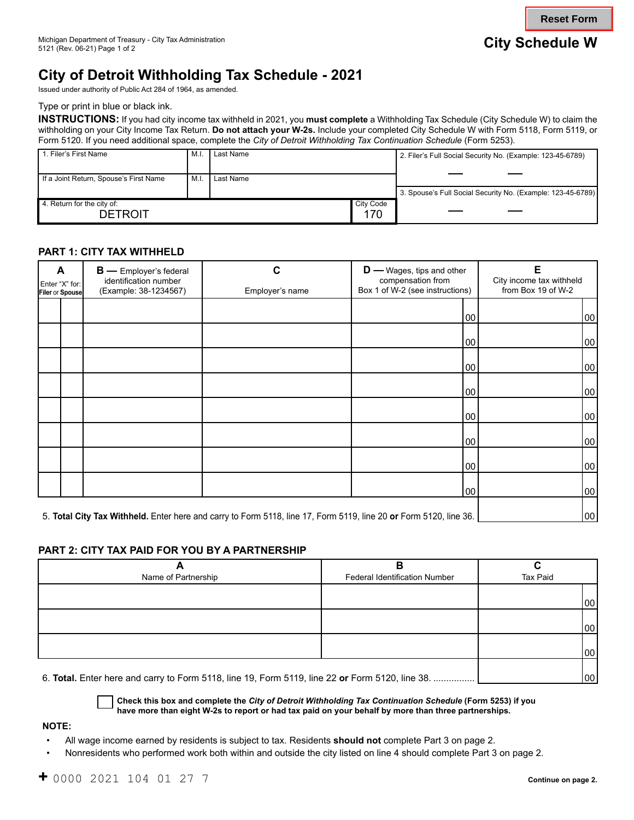**Reset Form**

# **City of Detroit Withholding Tax Schedule - 2021**

Issued under authority of Public Act 284 of 1964, as amended.

Type or print in blue or black ink.

**INSTRUCTIONS:** If you had city income tax withheld in 2021, you **must complete** a Withholding Tax Schedule (City Schedule W) to claim the withholding on your City Income Tax Return. **Do not attach your W-2s.** Include your completed City Schedule W with Form 5118, Form 5119, or Form 5120. If you need additional space, complete the *City of Detroit Withholding Tax Continuation Schedule* (Form 5253).

| 1. Filer's First Name                  | M.I | Last Name |           | 2. Filer's Full Social Security No. (Example: 123-45-6789)  |
|----------------------------------------|-----|-----------|-----------|-------------------------------------------------------------|
|                                        |     |           |           |                                                             |
| If a Joint Return, Spouse's First Name | M.I | Last Name |           |                                                             |
|                                        |     |           |           | 3. Spouse's Full Social Security No. (Example: 123-45-6789) |
| 4. Return for the city of:             |     |           | City Code |                                                             |
| <b>DETROIT</b>                         |     |           | 170       |                                                             |

## **PART 1: CITY TAX WITHHELD**

| A<br><b>B</b> — Employer's federal<br>identification number<br>Enter "X" for:<br>(Example: 38-1234567)<br>Filer or Spouse |                                                                                                                   | С<br>Employer's name | $\mathbf{D}$ — Wages, tips and other<br>compensation from<br>Box 1 of W-2 (see instructions) | E<br>City income tax withheld<br>from Box 19 of W-2 |
|---------------------------------------------------------------------------------------------------------------------------|-------------------------------------------------------------------------------------------------------------------|----------------------|----------------------------------------------------------------------------------------------|-----------------------------------------------------|
|                                                                                                                           |                                                                                                                   |                      | 00                                                                                           | 00                                                  |
|                                                                                                                           |                                                                                                                   |                      | 00                                                                                           | 00                                                  |
|                                                                                                                           |                                                                                                                   |                      | 00                                                                                           | 00                                                  |
|                                                                                                                           |                                                                                                                   |                      | 00                                                                                           | 00                                                  |
|                                                                                                                           |                                                                                                                   |                      | 00                                                                                           | 00                                                  |
|                                                                                                                           |                                                                                                                   |                      | 00                                                                                           | 00                                                  |
|                                                                                                                           |                                                                                                                   |                      | 00                                                                                           | 00                                                  |
|                                                                                                                           |                                                                                                                   |                      | 100                                                                                          | 00                                                  |
|                                                                                                                           | 5. Total City Tax Withheld. Enter here and carry to Form 5118, line 17, Form 5119, line 20 or Form 5120, line 36. | 00                   |                                                                                              |                                                     |

### **PART 2: CITY TAX PAID FOR YOU BY A PARTNERSHIP**

| Name of Partnership | <b>Federal Identification Number</b> | Tax Paid |
|---------------------|--------------------------------------|----------|
|                     |                                      |          |
|                     |                                      | 00       |
|                     |                                      |          |
|                     |                                      | 00       |
|                     |                                      |          |
|                     |                                      | 00       |
|                     |                                      |          |

6. **Total.** Enter here and carry to Form 5118, line 19, Form 5119, line 22 **or** Form 5120, line 38. ................ 00

**Check this box and complete the** *City of Detroit Withholding Tax Continuation Schedule* **(Form 5253) if you have more than eight W-2s to report or had tax paid on your behalf by more than three partnerships.** 

#### **NOTE:**

- All wage income earned by residents is subject to tax. Residents **should not** complete Part 3 on page 2.
- Nonresidents who performed work both within and outside the city listed on line 4 should complete Part 3 on page 2.